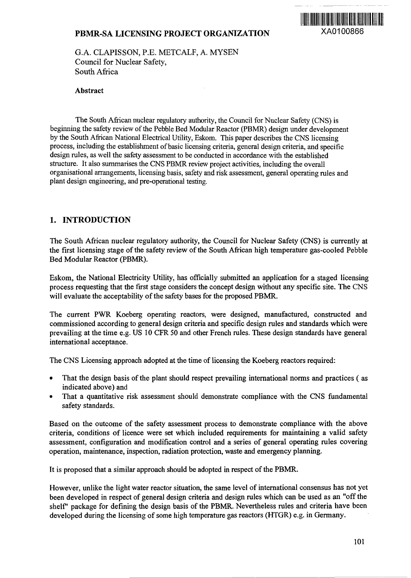# <u> Hilli Harristan (</u>

# **PBMR-SA LICENSING PROJECT ORGANIZATION XA0100866**

G.A. CLAPISSON, P.E. METCALF, A. MYSEN Council for Nuclear Safety, South Africa

#### **Abstract**

The South African nuclear regulatory authority, the Council for Nuclear Safety (CNS) is beginning the safety review of the Pebble Bed Modular Reactor (PBMR) design under development by the South African National Electrical Utility, Eskom. This paper describes the CNS licensing process, including the establishment of basic licensing criteria, general design criteria, and specific design rules, as well the safety assessment to be conducted in accordance with the established structure. It also summarises the CNS PBMR review project activities, including the overall organisational arrangements, licensing basis, safety and risk assessment, general operating rules and plant design engineering, and pre-operational testing.

## **1. INTRODUCTION**

The South African nuclear regulatory authority, the Council for Nuclear Safety (CNS) is currently at the first licensing stage of the safety review of the South African high temperature gas-cooled Pebble Bed Modular Reactor (PBMR).

Eskom, the National Electricity Utility, has officially submitted an application for a staged licensing process requesting that the first stage considers the concept design without any specific site. The CNS will evaluate the acceptability of the safety bases for the proposed PBMR.

The current PWR Koeberg operating reactors, were designed, manufactured, constructed and commissioned according to general design criteria and specific design rules and standards which were prevailing at the time e.g. US 10 CFR 50 and other French rules. These design standards have general international acceptance.

The CNS Licensing approach adopted at the time of licensing the Koeberg reactors required:

- That the design basis of the plant should respect prevailing international norms and practices ( as indicated above) and
- That a quantitative risk assessment should demonstrate compliance with the CNS fundamental safety standards.

Based on the outcome of the safety assessment process to demonstrate compliance with the above criteria, conditions of licence were set which included requirements for maintaining a valid safety assessment, configuration and modification control and a series of general operating rules covering operation, maintenance, inspection, radiation protection, waste and emergency planning.

It is proposed that a similar approach should be adopted in respect of the PBMR.

However, unlike the light water reactor situation, the same level of international consensus has not yet been developed in respect of general design criteria and design rules which can be used as an "off the shelf" package for defining the design basis of the PBMR. Nevertheless rules and criteria have been developed during the licensing of some high temperature gas reactors (HTGR) e.g. in Germany.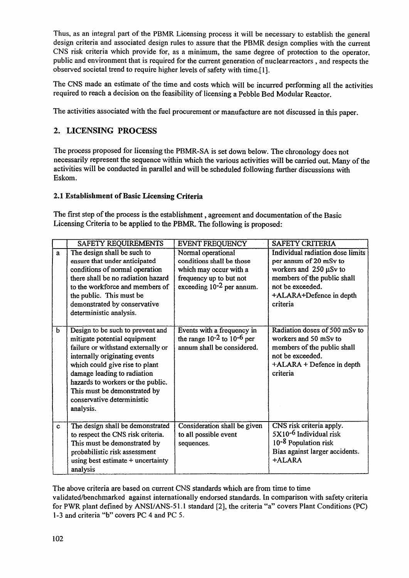Thus, as an integral part of the PBMR Licensing process it will be necessary to establish the general design criteria and associated design rules to assure that the PBMR design complies with the current CNS risk criteria which provide for, as a minimum, the same degree of protection to the operator, public and environment that is required for the current generation of nuclear reactors , and respects the observed societal trend to require higher levels of safety with time.[l].

The CNS made an estimate of the time and costs which will be incurred performing all the activities required to reach a decision on the feasibility of licensing a Pebble Bed Modular Reactor.

The activities associated with the fuel procurement or manufacture are not discussed in this paper.

# 2. LICENSING PROCESS

The process proposed for licensing the PBMR-SA is set down below. The chronology does not necessarily represent the sequence within which the various activities will be carried out. Many of the activities will be conducted in parallel and will be scheduled following further discussions with Eskom.

#### **2.1 Establishment of Basic Licensing Criteria**

The first step of the process is the establishment, agreement and documentation of the Basic Licensing Criteria to be applied to the PBMR. The following is proposed:

|              | SAFETY REQUIREMENTS                                                                                                                                                                                                                                                                                                      | EVENT FREQUENCY                                                                                                                        | <b>SAFETY CRITERIA</b>                                                                                                                                                              |
|--------------|--------------------------------------------------------------------------------------------------------------------------------------------------------------------------------------------------------------------------------------------------------------------------------------------------------------------------|----------------------------------------------------------------------------------------------------------------------------------------|-------------------------------------------------------------------------------------------------------------------------------------------------------------------------------------|
| $\mathbf{a}$ | The design shall be such to<br>ensure that under anticipated<br>conditions of normal operation<br>there shall be no radiation hazard<br>to the workforce and members of<br>the public. This must be<br>demonstrated by conservative<br>deterministic analysis.                                                           | Normal operational<br>conditions shall be those<br>which may occur with a<br>frequency up to but not<br>exceeding $10^{-2}$ per annum. | Individual radiation dose limits<br>per annum of 20 mSv to<br>workers and $250 \mu Sv$ to<br>members of the public shall<br>not be exceeded.<br>+ALARA+Defence in depth<br>criteria |
| $\mathbf b$  | Design to be such to prevent and<br>mitigate potential equipment<br>failure or withstand externally or<br>internally originating events<br>which could give rise to plant<br>damage leading to radiation<br>hazards to workers or the public.<br>This must be demonstrated by<br>conservative deterministic<br>analysis. | Events with a frequency in<br>the range $10^{-2}$ to $10^{-6}$ per<br>annum shall be considered.                                       | Radiation doses of 500 mSy to<br>workers and 50 mSv to<br>members of the public shall<br>not be exceeded.<br>+ALARA + Defence in depth<br>criteria                                  |
| $\mathbf{c}$ | The design shall be demonstrated<br>to respect the CNS risk criteria.<br>This must be demonstrated by<br>probabilistic risk assessment<br>using best estimate + uncertainty<br>analysis                                                                                                                                  | Consideration shall be given<br>to all possible event<br>sequences.                                                                    | CNS risk criteria apply.<br>5X10 <sup>-6</sup> Individual risk<br>10 <sup>-8</sup> Population risk<br>Bias against larger accidents.<br>+ALARA                                      |

The above criteria are based on current CNS standards which are from time to time validated/benchmarked against internationally endorsed standards. In comparison with safety criteria for PWR plant defined by ANSI/ANS-51.1 standard [2], the criteria "a" covers Plant Conditions (PC) 1-3 and criteria "b" covers PC 4 and PC 5.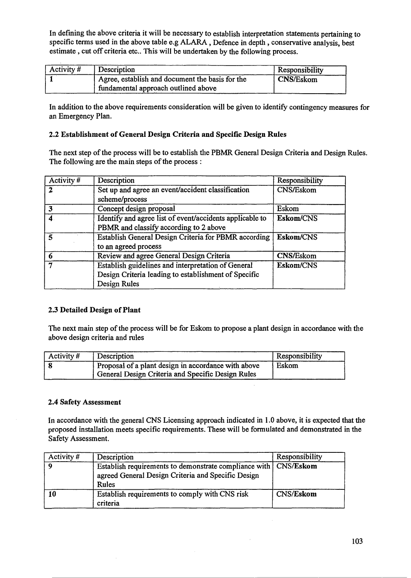In defining the above criteria it will be necessary to establish interpretation statements pertaining to specific terms used in the above table e.g ALARA, Defence in depth, conservative analysis, best estimate , cut off criteria etc.. This will be undertaken by the following process.

| Activity # | Description                                     | Responsibility   |
|------------|-------------------------------------------------|------------------|
|            | Agree, establish and document the basis for the | <b>CNS/Eskom</b> |
|            | fundamental approach outlined above             |                  |

In addition to the above requirements consideration will be given to identify contingency measures for an Emergency Plan.

#### 2.2 Establishment of General Design Criteria and Specific Design Rules

The next step of the process will be to establish the PBMR General Design Criteria and Design Rules. The following are the main steps of the process :

| Activity#        | Description                                                                                                                | Responsibility   |
|------------------|----------------------------------------------------------------------------------------------------------------------------|------------------|
|                  | Set up and agree an event/accident classification<br>scheme/process                                                        | <b>CNS/Eskom</b> |
| $\mathbf{3}$     | Concept design proposal                                                                                                    | Eskom            |
| $\boldsymbol{4}$ | Identify and agree list of event/accidents applicable to<br>PBMR and classify according to 2 above                         | Eskom/CNS        |
| 5                | <b>Establish General Design Criteria for PBMR according</b><br>to an agreed process                                        | Eskom/CNS        |
| -6               | Review and agree General Design Criteria                                                                                   | <b>CNS/Eskom</b> |
|                  | Establish guidelines and interpretation of General<br>Design Criteria leading to establishment of Specific<br>Design Rules | Eskom/CNS        |

#### 2.3 Detailed Design of Plant

The next main step of the process will be for Eskom to propose a plant design in accordance with the above design criteria and rules

| Activity# | ' Description                                                                                            | Responsibility |
|-----------|----------------------------------------------------------------------------------------------------------|----------------|
|           | Proposal of a plant design in accordance with above<br>General Design Criteria and Specific Design Rules | Eskom          |

#### 2.4 Safety Assessment

In accordance with the general CNS Licensing approach indicated in 1.0 above, it is expected that the proposed installation meets specific requirements. These will be formulated and demonstrated in the Safety Assessment.

| Activity # | Description                                                                                                                      | Responsibility   |
|------------|----------------------------------------------------------------------------------------------------------------------------------|------------------|
|            | Establish requirements to demonstrate compliance with   CNS/Eskom<br>agreed General Design Criteria and Specific Design<br>Rules |                  |
| 10         | Establish requirements to comply with CNS risk<br>criteria                                                                       | <b>CNS/Eskom</b> |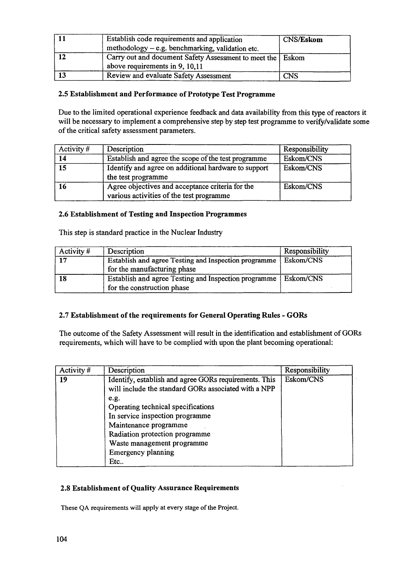|    | Establish code requirements and application<br>methodology $-e.g.$ benchmarking, validation etc. | <b>CNS/Eskom</b> |
|----|--------------------------------------------------------------------------------------------------|------------------|
|    | Carry out and document Safety Assessment to meet the   Eskom<br>above requirements in 9, 10,11   |                  |
| 13 | Review and evaluate Safety Assessment                                                            | CNS              |

#### **2.5 Establishment and Performance of Prototype Test Programme**

Due to the limited operational experience feedback and data availability from this type of reactors it will be necessary to implement a comprehensive step by step test programme to verify/validate some of the critical safety assessment parameters.

| Activity #      | Description                                                                                  | Responsibility |
|-----------------|----------------------------------------------------------------------------------------------|----------------|
| 14              | Establish and agree the scope of the test programme                                          | Eskom/CNS      |
| $\overline{15}$ | Identify and agree on additional hardware to support<br>the test programme                   | Eskom/CNS      |
| <b>16</b>       | Agree objectives and acceptance criteria for the<br>various activities of the test programme | Eskom/CNS      |

#### **2.6 Establishment of Testing and Inspection Programmes**

This step is standard practice in the Nuclear Industry

| Activity $#$    | Description                                                      | Responsibility |
|-----------------|------------------------------------------------------------------|----------------|
| $\overline{17}$ | Establish and agree Testing and Inspection programme             | Eskom/CNS      |
|                 | for the manufacturing phase                                      |                |
| . 18            | Establish and agree Testing and Inspection programme   Eskom/CNS |                |
|                 | for the construction phase                                       |                |

## **2.7 Establishment of the requirements for General Operating Rules - GORs**

The outcome of the Safety Assessment will result in the identification and establishment of GORs requirements, which will have to be complied with upon the plant becoming operational:

 $\bar{\phantom{a}}$ 

| Activity $#$ | Description                                           | Responsibility |
|--------------|-------------------------------------------------------|----------------|
| 19           | Identify, establish and agree GORs requirements. This | Eskom/CNS      |
|              | will include the standard GORs associated with a NPP  |                |
|              | e.g.                                                  |                |
|              | Operating technical specifications                    |                |
|              | In service inspection programme                       |                |
|              | Maintenance programme                                 |                |
|              | Radiation protection programme                        |                |
|              | Waste management programme                            |                |
|              | Emergency planning                                    |                |
|              | Etc                                                   |                |

#### **2.8 Establishment of Quality Assurance Requirements**

These QA requirements will apply at every stage of the Project.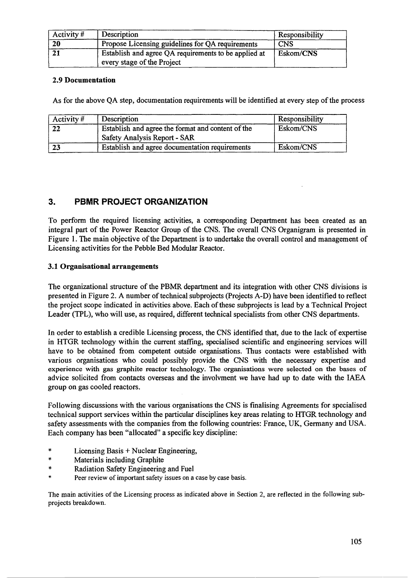| Activity $#$ | Description                                                                        | Responsibility |
|--------------|------------------------------------------------------------------------------------|----------------|
| $\sqrt{20}$  | Propose Licensing guidelines for QA requirements                                   | <b>CNS</b>     |
|              | Establish and agree QA requirements to be applied at<br>every stage of the Project | Eskom/CNS      |

#### **2.9 Documentation**

As for the above QA step, documentation requirements will be identified at every step of the process

| Activity # | Description                                       | Responsibility |
|------------|---------------------------------------------------|----------------|
| 22         | Establish and agree the format and content of the | Eskom/CNS      |
|            | Safety Analysis Report - SAR                      |                |
| 23         | Establish and agree documentation requirements    | Eskom/CNS      |

# **3. PBMR PROJECT ORGANIZATION**

To perform the required licensing activities, a corresponding Department has been created as an integral part of the Power Reactor Group of the CNS. The overall CNS Organigram is presented in Figure 1. The main objective of the Department is to undertake the overall control and management of Licensing activities for the Pebble Bed Modular Reactor.

#### **3.1 Organisational arrangements**

The organizational structure of the PBMR department and its integration with other CNS divisions is presented in Figure 2. A number of technical subprojects (Projects A-D) have been identified to reflect the project scope indicated in activities above. Each of these subprojects is lead by a Technical Project Leader (TPL), who will use, as required, different technical specialists from other CNS departments.

In order to establish a credible Licensing process, the CNS identified that, due to the lack of expertise in HTGR technology within the current staffing, specialised scientific and engineering services will have to be obtained from competent outside organisations. Thus contacts were established with various organisations who could possibly provide the CNS with the necessary expertise and experience with gas graphite reactor technology. The organisations were selected on the bases of advice solicited from contacts overseas and the involvment we have had up to date with the IAEA group on gas cooled reactors.

Following discussions with the various organisations the CNS is finalising Agreements for specialised technical support services within the particular disciplines key areas relating to HTGR technology and safety assessments with the companies from the following countries: France, UK, Germany and USA. Each company has been "allocated" a specific key discipline:

- $\ast$ Licensing Basis + Nuclear Engineering,
- $\ast$ Materials including Graphite
- $\star$ Radiation Safety Engineering and Fuel
- Peer review of important safety issues on a case by case basis.

The main activities of the Licensing process as indicated above in Section 2, are reflected in the following subprojects breakdown.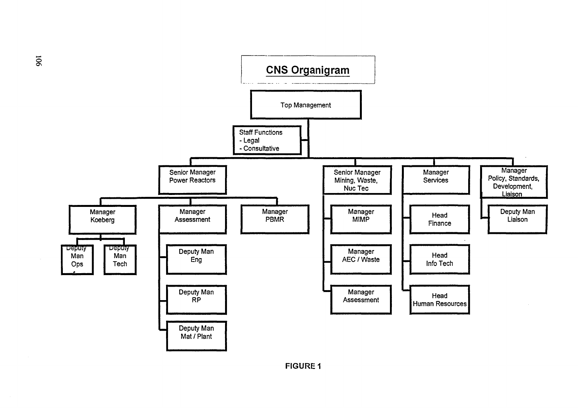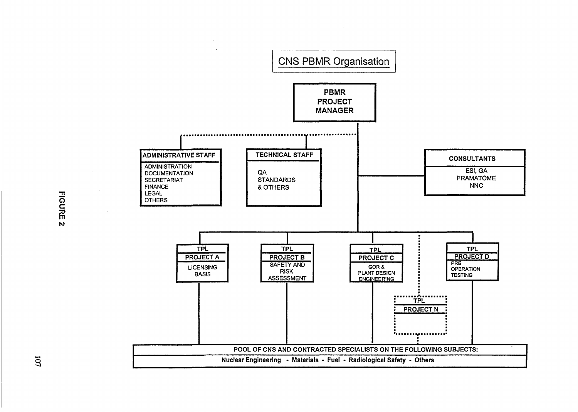

**Q I**

 $101$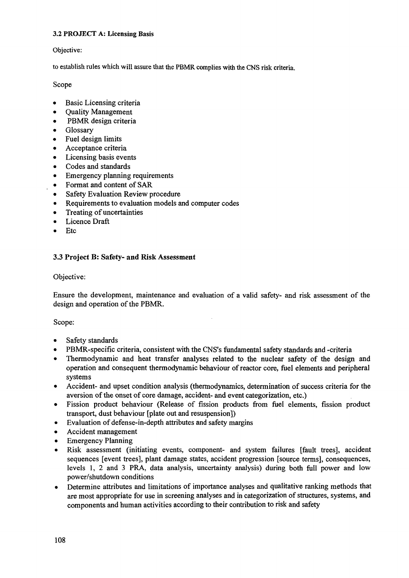#### 3.2 PROJECT A: Licensing Basis

Objective:

to establish rules which will assure that the PBMR complies with the CNS risk criteria.

Scope

- Basic Licensing criteria
- Quality Management
- PBMR design criteria
- Glossary
- Fuel design limits
- Acceptance criteria
- Licensing basis events
- Codes and standards
- Emergency planning requirements
- Format and content of SAR
- Safety Evaluation Review procedure
- Requirements to evaluation models and computer codes
- Treating of uncertainties
- Licence Draft
- Etc

#### 3.3 Project B: Safety- and Risk Assessment

#### Objective:

Ensure the development, maintenance and evaluation of a valid safety- and risk assessment of the design and operation of the PBMR.

 $\bar{z}$ 

Scope:

- Safety standards
- PBMR-specific criteria, consistent with the CNS's fundamental safety standards and -criteria
- Thermodynamic and heat transfer analyses related to the nuclear safety of the design and operation and consequent thermodynamic behaviour of reactor core, fuel elements and peripheral systems
- Accident- and upset condition analysis (thermodynamics, determination of success criteria for the aversion of the onset of core damage, accident- and event categorization, etc.)
- Fission product behaviour (Release of fission products from fuel elements, fission product transport, dust behaviour [plate out and resuspension])
- Evaluation of defense-in-depth attributes and safety margins
- Accident management
- Emergency Planning
- Risk assessment (initiating events, component- and system failures [fault trees], accident sequences [event trees], plant damage states, accident progression [source terms], consequences, levels 1, 2 and 3 PRA, data analysis, uncertainty analysis) during both full power and low power/shutdown conditions
- Determine attributes and limitations of importance analyses and qualitative ranking methods that are most appropriate for use in screening analyses and in categorization of structures, systems, and components and human activities according to their contribution to risk and safety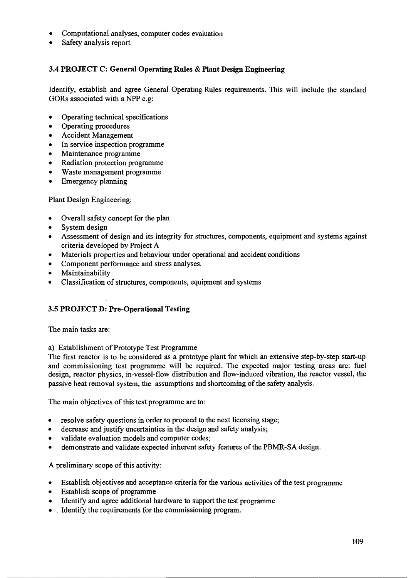- Computational analyses, computer codes evaluation
- Safety analysis report

#### **3.4 PROJECT C: General Operating Rules & Plant Design Engineering**

Identify, establish and agree General Operating Rules requirements. This will include the standard GORs associated with a NPP e.g:

- Operating technical specifications
- Operating procedures
- Accident Management
- In service inspection programme
- Maintenance programme
- Radiation protection programme
- Waste management programme
- Emergency planning

Plant Design Engineering:

- Overall safety concept for the plan
- System design
- Assessment of design and its integrity for structures, components, equipment and systems against criteria developed by Project A
- Materials properties and behaviour under operational and accident conditions
- Component performance and stress analyses.
- **Maintainability**
- Classification of structures, components, equipment and systems

#### **3.5 PROJECT D: Pre-Operational Testing**

The main tasks are:

a) Establishment of Prototype Test Programme

The first reactor is to be considered as a prototype plant for which an extensive step-by-step start-up and commissioning test programme will be required. The expected major testing areas are: fuel design, reactor physics, in-vessel-flow distribution and flow-induced vibration, the reactor vessel, the passive heat removal system, the assumptions and shortcoming of the safety analysis.

The main objectives of this test programme are to:

- resolve safety questions in order to proceed to the next licensing stage;
- decrease and justify uncertainties in the design and safety analysis;
- validate evaluation models and computer codes;
- demonstrate and validate expected inherent safety features of the PBMR-SA design.

A preliminary scope of this activity:

- Establish objectives and acceptance criteria for the various activities of the test programme
- Establish scope of programme
- Identify and agree additional hardware to support the test programme
- Identify the requirements for the commissioning program.